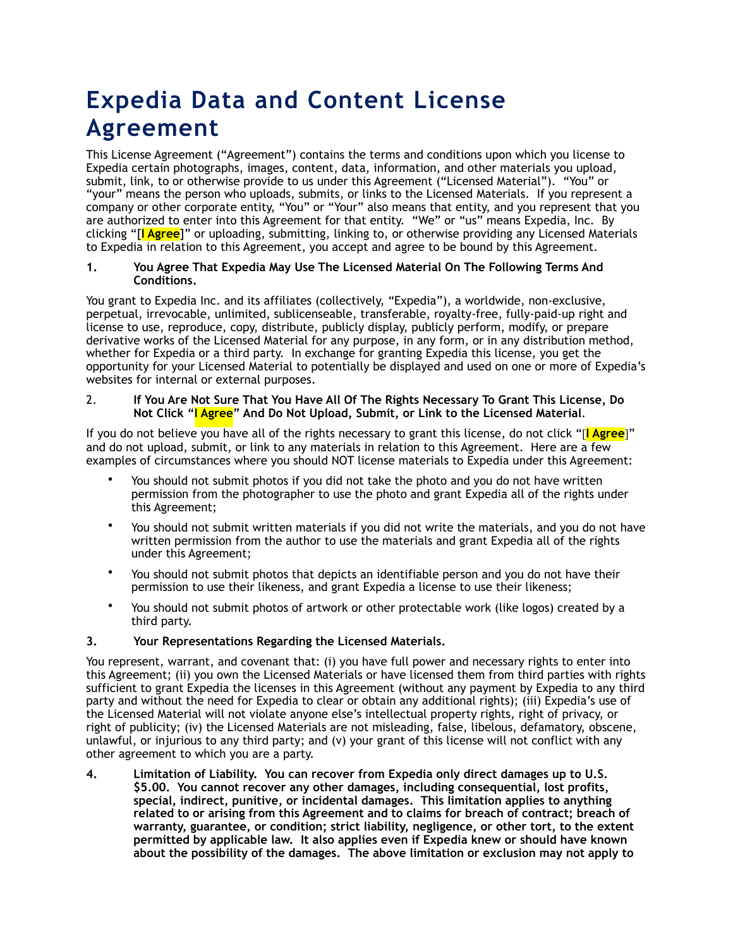# **Expedia Data and Content License Agreement**

This License Agreement ("Agreement") contains the terms and conditions upon which you license to Expedia certain photographs, images, content, data, information, and other materials you upload, submit, link, to or otherwise provide to us under this Agreement ("Licensed Material"). "You" or "your" means the person who uploads, submits, or links to the Licensed Materials. If you represent a company or other corporate entity, "You" or "Your" also means that entity, and you represent that you are authorized to enter into this Agreement for that entity. "We" or "us" means Expedia, Inc. By clicking "[**I Agree**]" or uploading, submitting, linking to, or otherwise providing any Licensed Materials to Expedia in relation to this Agreement, you accept and agree to be bound by this Agreement.

#### **1. You Agree That Expedia May Use The Licensed Material On The Following Terms And Conditions.**

You grant to Expedia Inc. and its affiliates (collectively, "Expedia"), a worldwide, non-exclusive, perpetual, irrevocable, unlimited, sublicenseable, transferable, royalty-free, fully-paid-up right and license to use, reproduce, copy, distribute, publicly display, publicly perform, modify, or prepare derivative works of the Licensed Material for any purpose, in any form, or in any distribution method, whether for Expedia or a third party. In exchange for granting Expedia this license, you get the opportunity for your Licensed Material to potentially be displayed and used on one or more of Expedia's websites for internal or external purposes.

#### 2. **If You Are Not Sure That You Have All Of The Rights Necessary To Grant This License, Do Not Click "I Agree" And Do Not Upload, Submit, or Link to the Licensed Material**.

If you do not believe you have all of the rights necessary to grant this license, do not click "[**I Agree**]" and do not upload, submit, or link to any materials in relation to this Agreement. Here are a few examples of circumstances where you should NOT license materials to Expedia under this Agreement:

- You should not submit photos if you did not take the photo and you do not have written permission from the photographer to use the photo and grant Expedia all of the rights under this Agreement;
- You should not submit written materials if you did not write the materials, and you do not have written permission from the author to use the materials and grant Expedia all of the rights under this Agreement;
- You should not submit photos that depicts an identifiable person and you do not have their permission to use their likeness, and grant Expedia a license to use their likeness;
- You should not submit photos of artwork or other protectable work (like logos) created by a third party.

## **3. Your Representations Regarding the Licensed Materials.**

You represent, warrant, and covenant that: (i) you have full power and necessary rights to enter into this Agreement; (ii) you own the Licensed Materials or have licensed them from third parties with rights sufficient to grant Expedia the licenses in this Agreement (without any payment by Expedia to any third party and without the need for Expedia to clear or obtain any additional rights); (iii) Expedia's use of the Licensed Material will not violate anyone else's intellectual property rights, right of privacy, or right of publicity; (iv) the Licensed Materials are not misleading, false, libelous, defamatory, obscene, unlawful, or injurious to any third party; and (v) your grant of this license will not conflict with any other agreement to which you are a party.

**4. Limitation of Liability. You can recover from Expedia only direct damages up to U.S. \$5.00. You cannot recover any other damages, including consequential, lost profits, special, indirect, punitive, or incidental damages. This limitation applies to anything related to or arising from this Agreement and to claims for breach of contract; breach of warranty, guarantee, or condition; strict liability, negligence, or other tort, to the extent permitted by applicable law. It also applies even if Expedia knew or should have known about the possibility of the damages. The above limitation or exclusion may not apply to**